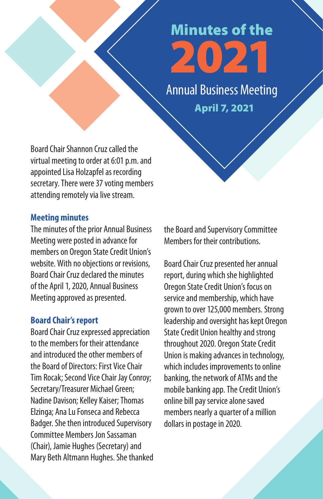# Minutes of the<br>2021

April 7, 2021 Annual Business Meeting

Board Chair Shannon Cruz called the virtual meeting to order at 6:01 p.m. and appointed Lisa Holzapfel as recording secretary. There were 37 voting members attending remotely via live stream.

# **Meeting minutes**

The minutes of the prior Annual Business Meeting were posted in advance for members on Oregon State Credit Union's website. With no objections or revisions, Board Chair Cruz declared the minutes of the April 1, 2020, Annual Business Meeting approved as presented.

# **Board Chair's report**

Board Chair Cruz expressed appreciation to the members for their attendance and introduced the other members of the Board of Directors: First Vice Chair Tim Rocak; Second Vice Chair Jay Conroy; Secretary/Treasurer Michael Green; Nadine Davison; Kelley Kaiser; Thomas Elzinga; Ana Lu Fonseca and Rebecca Badger. She then introduced Supervisory Committee Members Jon Sassaman (Chair), Jamie Hughes (Secretary) and Mary Beth Altmann Hughes. She thanked the Board and Supervisory Committee Members for their contributions.

Board Chair Cruz presented her annual report, during which she highlighted Oregon State Credit Union's focus on service and membership, which have grown to over 125,000 members. Strong leadership and oversight has kept Oregon State Credit Union healthy and strong throughout 2020. Oregon State Credit Union is making advances in technology, which includes improvements to online banking, the network of ATMs and the mobile banking app. The Credit Union's online bill pay service alone saved members nearly a quarter of a million dollars in postage in 2020.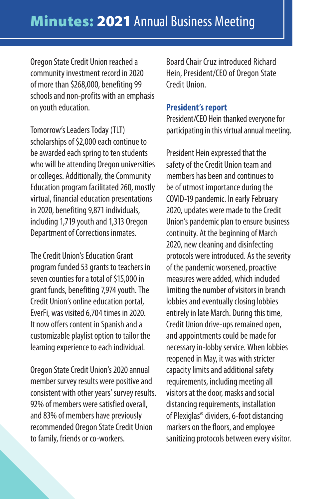Oregon State Credit Union reached a community investment record in 2020 of more than \$268,000, benefiting 99 schools and non-profits with an emphasis on youth education.

Tomorrow's Leaders Today (TLT) scholarships of \$2,000 each continue to be awarded each spring to ten students who will be attending Oregon universities or colleges. Additionally, the Community Education program facilitated 260, mostly virtual, financial education presentations in 2020, benefiting 9,871 individuals, including 1,719 youth and 1,313 Oregon Department of Corrections inmates.

The Credit Union's Education Grant program funded 53 grants to teachers in seven counties for a total of \$15,000 in grant funds, benefiting 7,974 youth. The Credit Union's online education portal, EverFi, was visited 6,704 times in 2020. It now offers content in Spanish and a customizable playlist option to tailor the learning experience to each individual.

Oregon State Credit Union's 2020 annual member survey results were positive and consistent with other years' survey results. 92% of members were satisfied overall, and 83% of members have previously recommended Oregon State Credit Union to family, friends or co-workers.

Board Chair Cruz introduced Richard Hein, President/CEO of Oregon State Credit Union.

#### **President's report**

President/CEO Hein thanked everyone for participating in this virtual annual meeting.

President Hein expressed that the safety of the Credit Union team and members has been and continues to be of utmost importance during the COVID-19 pandemic. In early February 2020, updates were made to the Credit Union's pandemic plan to ensure business continuity. At the beginning of March 2020, new cleaning and disinfecting protocols were introduced. As the severity of the pandemic worsened, proactive measures were added, which included limiting the number of visitors in branch lobbies and eventually closing lobbies entirely in late March. During this time, Credit Union drive-ups remained open, and appointments could be made for necessary in-lobby service. When lobbies reopened in May, it was with stricter capacity limits and additional safety requirements, including meeting all visitors at the door, masks and social distancing requirements, installation of Plexiglas® dividers, 6-foot distancing markers on the foors, and employee sanitizing protocols between every visitor.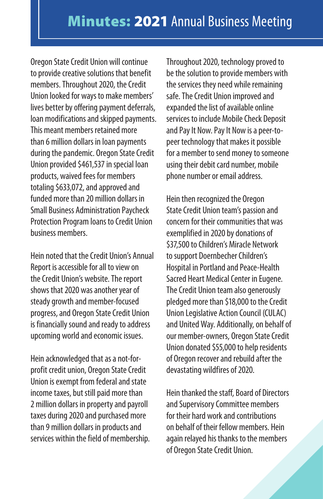Oregon State Credit Union will continue to provide creative solutions that benefit members. Throughout 2020, the Credit Union looked for ways to make members' lives better by offering payment deferrals, loan modifications and skipped payments. This meant members retained more than 6 million dollars in loan payments during the pandemic. Oregon State Credit Union provided \$461,537 in special loan products, waived fees for members totaling \$633,072, and approved and funded more than 20 million dollars in Small Business Administration Paycheck Protection Program loans to Credit Union business members.

Hein noted that the Credit Union's Annual Report is accessible for all to view on the Credit Union's website. The report shows that 2020 was another year of steady growth and member-focused progress, and Oregon State Credit Union is financially sound and ready to address upcoming world and economic issues.

Hein acknowledged that as a not-forprofit credit union, Oregon State Credit Union is exempt from federal and state income taxes, but still paid more than 2 million dollars in property and payroll taxes during 2020 and purchased more than 9 million dollars in products and services within the field of membership.

Throughout 2020, technology proved to be the solution to provide members with the services they need while remaining safe. The Credit Union improved and expanded the list of available online services to include Mobile Check Deposit and Pay It Now. Pay It Now is a peer-topeer technology that makes it possible for a member to send money to someone using their debit card number, mobile phone number or email address.

Hein then recognized the Oregon State Credit Union team's passion and concern for their communities that was exemplified in 2020 by donations of \$37,500 to Children's Miracle Network to support Doernbecher Children's Hospital in Portland and Peace-Health Sacred Heart Medical Center in Eugene. The Credit Union team also generously pledged more than \$18,000 to the Credit Union Legislative Action Council (CULAC) and United Way. Additionally, on behalf of our member-owners, Oregon State Credit Union donated \$55,000 to help residents of Oregon recover and rebuild after the devastating wildfires of 2020.

Hein thanked the staff, Board of Directors and Supervisory Committee members for their hard work and contributions on behalf of their fellow members. Hein again relayed his thanks to the members of Oregon State Credit Union.